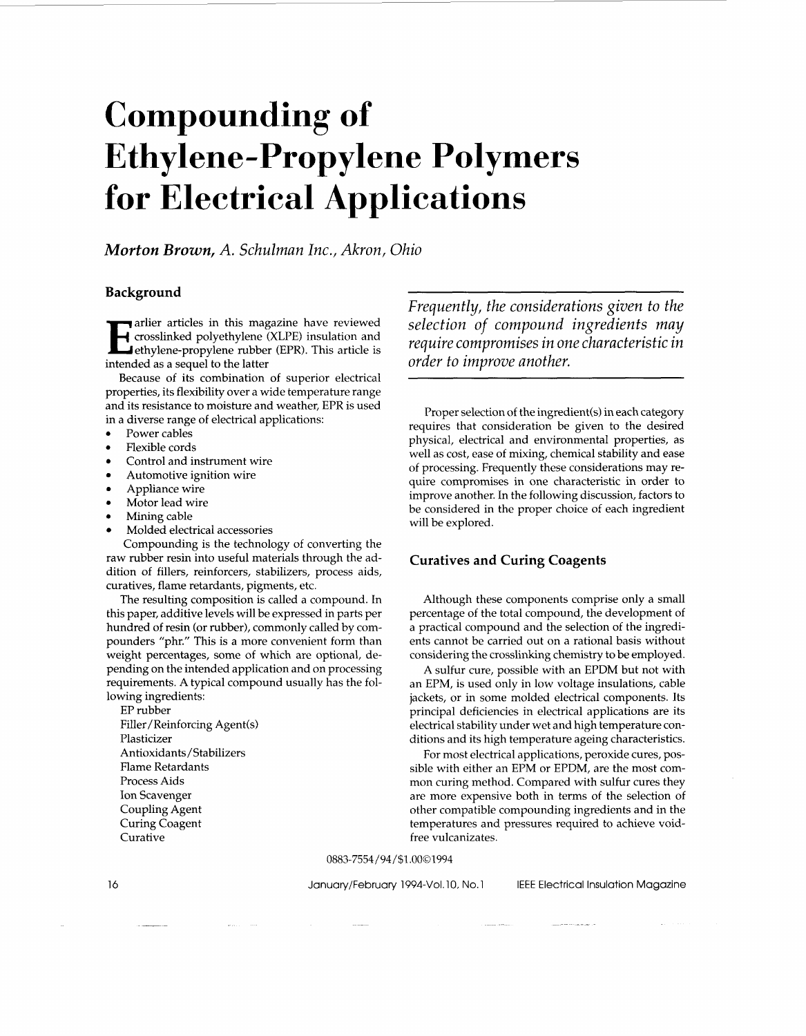# **Compounding of Ethylene-Propylene Polymers for Electrical Applications**

*Morton Brown, A. Schulman Inc., Akron, Ohio* 

# **Background**

**Example 1** crosslinked polyethylene (XLPE) insulation and ethylene-propylene rubber (EPR). This article is intended as a sequel to the latter

Because of its combination of superior electrical properties, its flexibility over a wide temperature range and its resistance to moisture and weather, EPR is used in a diverse range of electrical applications:

- Power cables
- Flexible cords
- Control and instrument wire
- Automotive ignition wire
- Appliance wire
- Motor lead wire
- *<sup>0</sup>*Mining cable
- Molded electrical accessories

Compounding is the technology of converting the raw rubber resin into useful materials through the addition of fillers, reinforcers, stabilizers, process aids, curatives, flame retardants, pigments, etc.

The resulting composition is called a compound. In this paper, additive levels will be expressed in parts per hundred of resin (or rubber), commonly called by compounders "phr." This is a more convenient form than weight percentages, some of which are optional, depending on the intended application and on processing requirements. A typical compound usually has the following ingredients:

EP rubber Filler/Reinforcing Agent(s) Plasticizer Antioxidants/Stabilizers Flame Retardants Process Aids Ion Scavenger Coupling Agent Curing Coagent Curative

*Frequently, the considerations given to the selection of compound ingredients may require compromises in one characteristic in order to improve another.* 

Proper selection of the ingredient(s) in each category requires that consideration be given to the desired physical, electrical and environmental properties, as well as cost, ease of mixing, chemical stability and ease of processing. Frequently these considerations may require compromises in one characteristic in order to improve another. In the following discussion, factors to be considered in the proper choice of each ingredient will be explored.

# **Curatives and Curing Coagents**

Although these components comprise only a small percentage of the total compound, the development of a practical compound and the selection of the ingredients cannot be carried out on a rational basis without considering the crosslinking chemistry to be employed.

A sulfur cure, possible with an EPDM but not with an EPM, is used only in low voltage insulations, cable jackets, or in some molded electrical components. Its principal deficiencies in electrical applications are its electrical stability under wet and high temperature conditions and its high temperature ageing characteristics.

For most electrical applications, peroxide cures, possible with either an EPM or EPDM, are the most common curing method. Compared with sulfur cures they are more expensive both in terms of the selection of other compatible compounding ingredients and in the temperatures and pressures required to achieve voidfree vulcanizates.

0883-7554/94/\$1.0001994

January/February 1994-Vol. 10, No. 1 IEEE Electrical Insulation Magazine

16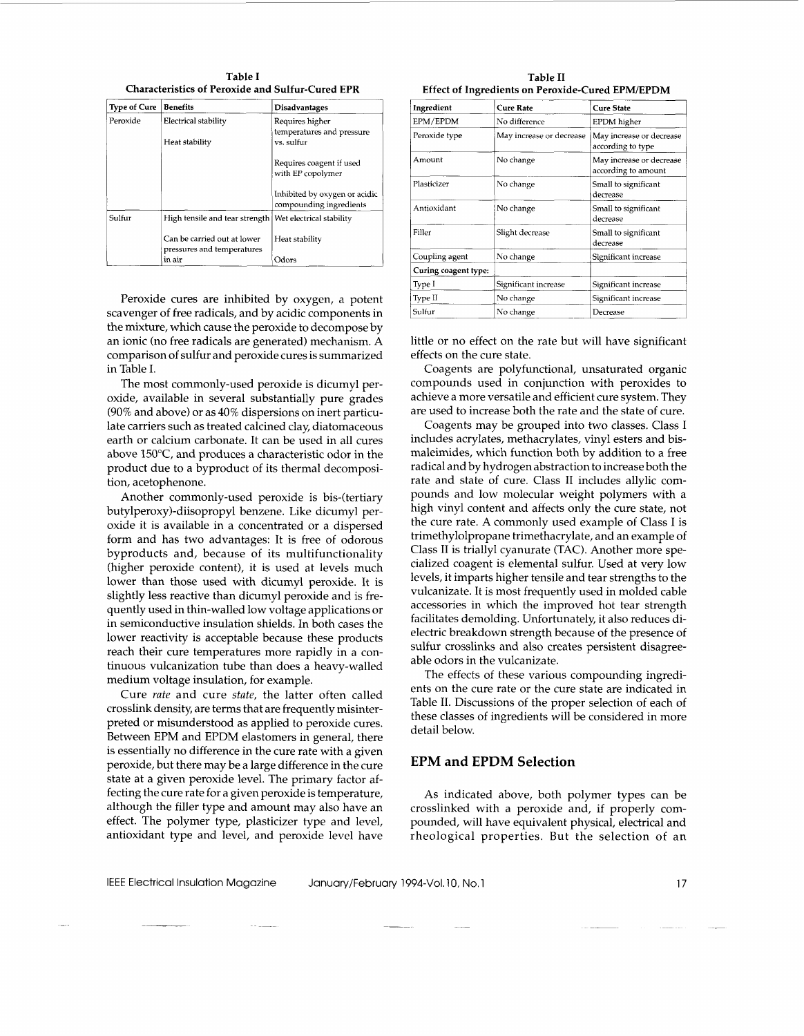Table I **Characteristics of Peroxide and Sulfur-Cured EPR** 

| <b>Type of Cure</b> | <b>Benefits</b>                                           | <b>Disadvantages</b>                                     |
|---------------------|-----------------------------------------------------------|----------------------------------------------------------|
| Peroxide            | Electrical stability                                      | Requires higher                                          |
|                     | Heat stability                                            | temperatures and pressure<br>vs. sulfur                  |
|                     |                                                           | Requires coagent if used<br>with EP copolymer            |
|                     |                                                           | Inhibited by oxygen or acidic<br>compounding ingredients |
| Sulfur              | High tensile and tear strength                            | Wet electrical stability                                 |
|                     | Can be carried out at lower<br>pressures and temperatures | Heat stability                                           |
|                     | in air                                                    | Odors                                                    |

Peroxide cures are inhibited by oxygen, a potent scavenger of free radicals, and by acidic components in the mixture, which cause the peroxide to decompose by an ionic (no free radicals are generated) mechanism. A comparison of sulfur and peroxide cures is summarized in Table I.

The most commonly-used peroxide is dicumyl peroxide, available in several substantially pure grades (90% and above) or as 40% dispersions on inert particulate carriers such as treated calcined clay diatomaceous earth or calcium carbonate. It can be used in all cures above 150°C, and produces a characteristic odor in the product due to a byproduct of its thermal decomposition, acetophenone.

Another commonly-used peroxide is bis-(tertiary buty1peroxy)-diisopropyl benzene. Like dicumyl peroxide it is available in a concentrated or a dispersed form and has two advantages: It is free of odorous byproducts and, because of its multifunctionality (higher peroxide content), it is used at levels much lower than those used with dicumyl peroxide. It is slightly less reactive than dicumyl peroxide and is frequently used in thin-walled low voltage applications or in semiconductive insulation shields. In both cases the lower reactivity is acceptable because these products reach their cure temperatures more rapidly in a continuous vulcanization tube than does a heavy-walled medium voltage insulation, for example.

Cure *rate* and cure *state,* the latter often called crosslink density, are terms that are frequently misinterpreted or misunderstood as applied to peroxide cures. Between EPM and EPDM elastomers in general, there is essentially no difference in the cure rate with a given peroxide, but there may be a large difference in the cure state at a given peroxide level. The primary factor affecting the cure rate for a given peroxide is temperature, although the filler type and amount may also have an effect. The polymer type, plasticizer type and level, antioxidant type and level, and peroxide level have

**Table I1 Effect of Ingredients on Peroxide-Cured EPM/EPDM** 

| Ingredient           | <b>Cure Rate</b>         | <b>Cure State</b>                               |
|----------------------|--------------------------|-------------------------------------------------|
| EPM/EPDM             | No difference            | EPDM higher                                     |
| Peroxide type        | May increase or decrease | May increase or decrease<br>according to type   |
| Amount               | No change                | May increase or decrease<br>according to amount |
| Plasticizer          | No change                | Small to significant<br>decrease                |
| Antioxidant          | No change                | Small to significant<br>decrease                |
| Filler               | Slight decrease          | Small to significant<br>decrease                |
| Coupling agent       | No change                | Significant increase                            |
| Curing coagent type: |                          |                                                 |
| Type I               | Significant increase     | Significant increase                            |
| Type II              | No change                | Significant increase                            |
| Sulfur               | No change                | Decrease                                        |

little or no effect on the rate but will have significant effects on the cure state.

Coagents are polyfunctional, unsaturated organic compounds used in conjunction with peroxides to achieve a more versatile and efficient cure system. They are used to increase both the rate and the state of cure.

Coagents may be grouped into two classes. Class I includes acrylates, methacrylates, vinyl esters and bismaleimides, which function both by addition to a free radical and by hydrogen abstraction to increase both the rate and state of cure. Class I1 includes allylic compounds and low molecular weight polymers with a high vinyl content and affects only the cure state, not the cure rate. A commonly used example of Class I is trimethylolpropane trimethacrylate, and an example of Class I1 is triallyl cyanurate (TAC). Another more specialized coagent is elemental sulfur. Used at very low levels, it imparts higher tensile and tear strengths to the vulcanizate. It is most frequently used in molded cable accessories in which the improved hot tear strength facilitates demolding. Unfortunately, it also reduces dielectric breakdown strength because of the presence of sulfur crosslinks and also creates persistent disagreeable odors in the vulcanizate.

The effects of these various compounding ingredients on the cure rate or the cure state are indicated in Table 11. Discussions of the proper selection of each of these classes of ingredients will be considered in more detail below.

# **EPM and EPDM Selection**

As indicated above, both polymer types can be crosslinked with a peroxide and, if properly compounded, will have equivalent physical, electrical and rheological properties. But the selection of an

IEEE Electrical Insulation Magazine January/February 1994-Vol. 10, No. 1

~ -\_\_\_ -~ ~ -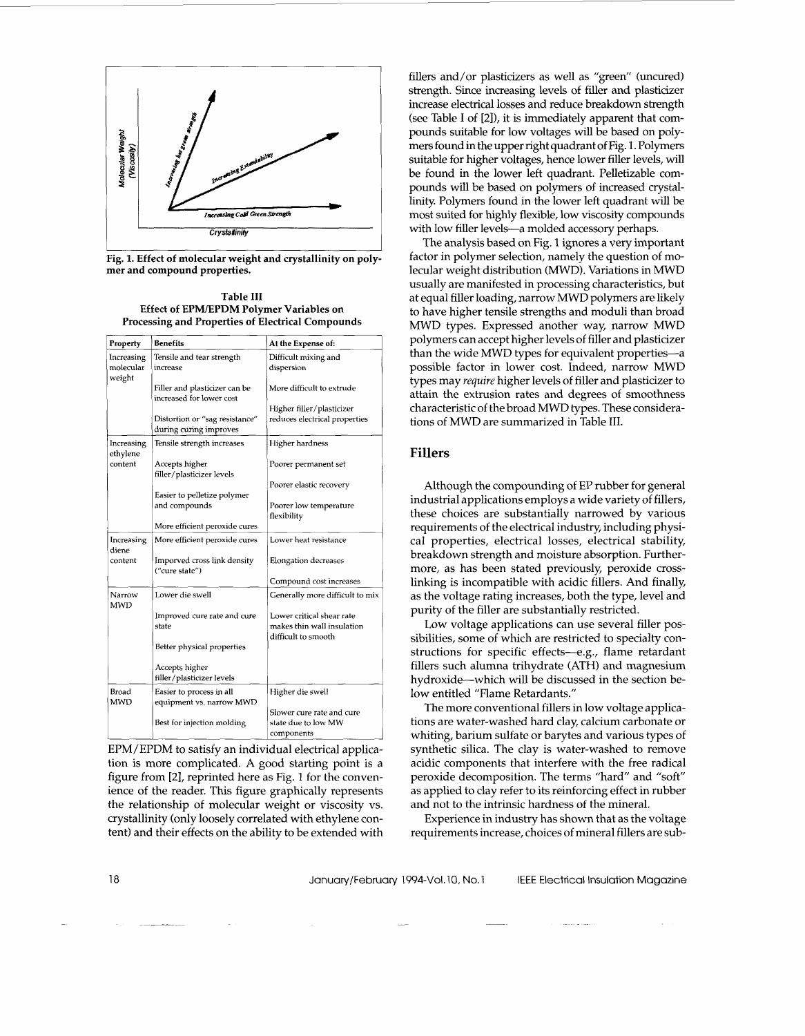

**Fig. 1. Effect of molecular weight and crystallinity on polymer and compound properties.** 

**Table I11 Effect of EPMlEPDM Polymer Variables on Processing and Properties of Electrical Compounds** 

| Property                          | <b>Benefits</b>                                              | At the Expense of:                                                             |
|-----------------------------------|--------------------------------------------------------------|--------------------------------------------------------------------------------|
| Increasing<br>molecular<br>weight | Tensile and tear strength<br>increase                        | Difficult mixing and<br>dispersion                                             |
|                                   | Filler and plasticizer can be<br>increased for lower cost    | More difficult to extrude                                                      |
|                                   | Distortion or "sag resistance"<br>during curing improves     | Higher filler/plasticizer<br>reduces electrical properties                     |
| Increasing<br>ethylene            | Tensile strength increases                                   | Higher hardness                                                                |
| content                           | Accepts higher<br>filler/plasticizer levels                  | Poorer permanent set                                                           |
|                                   | Easier to pelletize polymer                                  | Poorer elastic recovery                                                        |
|                                   | and compounds                                                | Poorer low temperature<br>flexibility                                          |
|                                   | More efficient peroxide cures                                |                                                                                |
| Increasing<br>diene<br>content    | More efficient peroxide cures<br>Imporved cross link density | Lower heat resistance<br>Elongation decreases                                  |
|                                   | ("cure state")                                               | Compound cost increases                                                        |
| Narrow<br>MWD                     | Lower die swell                                              | Generally more difficult to mix                                                |
|                                   | Improved cure rate and cure<br>state                         | Lower critical shear rate<br>makes thin wall insulation<br>difficult to smooth |
|                                   | Better physical properties                                   |                                                                                |
|                                   | Accepts higher<br>filler/plasticizer levels                  |                                                                                |
| Broad<br><b>MWD</b>               | Easier to process in all<br>equipment vs. narrow MWD         | Higher die swell                                                               |
|                                   | Best for injection molding                                   | Slower cure rate and cure<br>state due to low MW<br>components                 |

EPM/EPDM to satisfy an individual electrical application is more complicated. **A** good starting point is a figure from [2], reprinted here as Fig. 1 for the convenience of the reader. This figure graphically represents the relationship of molecular weight or viscosity vs. crystallinity (only loosely correlated with ethylene content) and their effects on the ability to be extended with fillers and/or plasticizers as well as "green" (uncured) strength. Since increasing levels of filler and plasticizer increase electrical losses and reduce breakdown strength (see Table I of [21), it is immediately apparent that compounds suitable for low voltages will be based on polymers found in the upper right quadrant of Fig. 1. Polymers suitable for higher voltages, hence lower filler levels, will be found in the lower left quadrant. Pelletizable compounds will be based on polymers of increased crystallinity Polymers found in the lower left quadrant will be most suited for highly flexible, low viscosity compounds with low filler levels-a molded accessory perhaps.

The analysis based on Fig. 1 ignores a very important factor in polymer selection, namely the question of molecular weight distribution (MWD). Variations in MWD usually are manifested in processing characteristics, but at equal filler loading, narrow MWD polymers are likely to have higher tensile strengths and moduli than broad MWD types. Expressed another way, narrow MWD polymers can accept higher levels of filler and plasticizer than the wide MWD types for equivalent properties-a possible factor in lower cost. Indeed, narrow MWD types may *require* higher levels of filler and plasticizer to attain the extrusion rates and degrees of smoothness characteristic of the broad MWD types. These considerations of MWD are summarized in Table 111.

# **Fillers**

Although the compounding of EP rubber for general industrial applications employs a wide variety of fillers, these choices are substantially narrowed by various requirements of the electrical industry, including physical properties, electrical losses, electrical stability, breakdown strength and moisture absorption. Furthermore, as has been stated previously, peroxide crosslinking is incompatible with acidic fillers. And finally, as the voltage rating increases, both the type, level and purity of the filler are substantially restricted.

Low voltage applications can use several filler possibilities, some of which are restricted to specialty constructions for specific effects-e.g., flame retardant fillers such alumna trihydrate (ATH) and magnesium hydroxide-which will be discussed in the section below entitled "Flame Retardants."

The more conventional fillers in low voltage applications are water-washed hard clay, calcium carbonate or whiting, barium sulfate or barytes and various types of synthetic silica. The clay is water-washed to remove acidic components that interfere with the free radical peroxide decomposition. The terms "hard" and "soft" as applied to clay refer to its reinforcing effect in rubber and not to the intrinsic hardness of the mineral.

Experience in industry has shown that as the voltage requirements increase, choices of mineral fillers are sub-

January/February 1994-V01.10, No. 1

- ~-

IEEE Electrical Insulation Magazine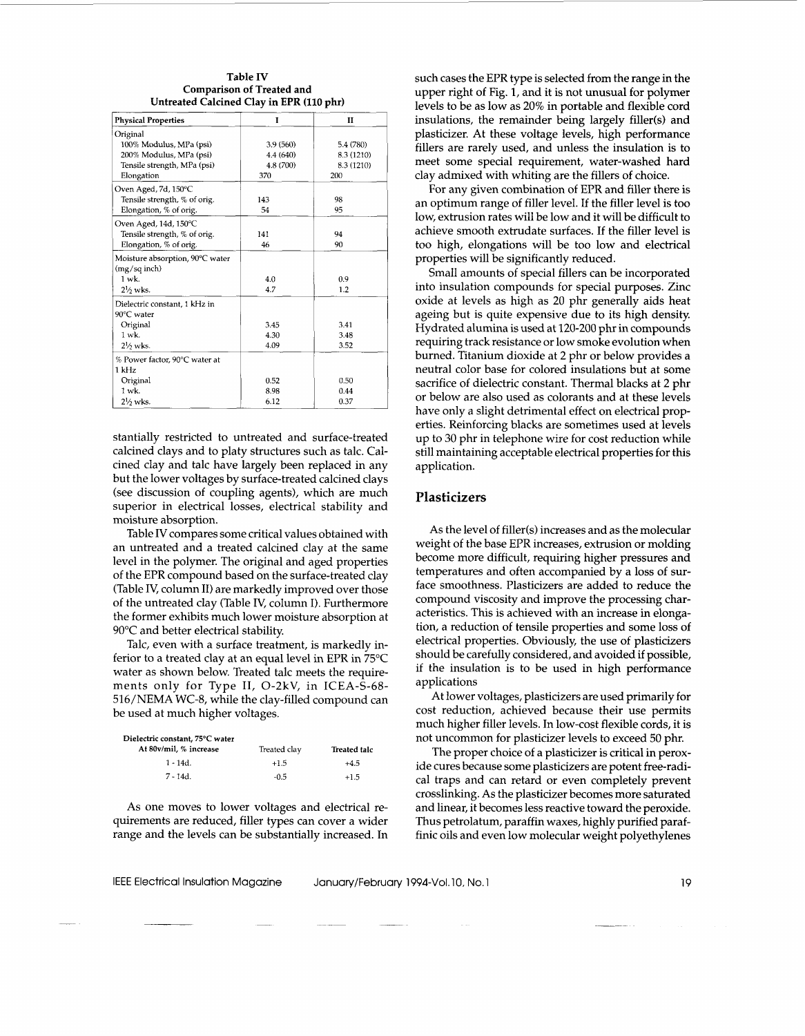#### **Table IV Comparison of Treated and Untreated Calcined Clay in EPR (110 phr)**

| <b>Physical Properties</b>      | I         | H          |
|---------------------------------|-----------|------------|
| Original                        |           |            |
| 100% Modulus, MPa (psi)         | 3.9 (560) | 5.4 (780)  |
| 200% Modulus, MPa (psi)         | 4.4 (640) | 8.3 (1210) |
| Tensile strength, MPa (psi)     | 4.8 (700) | 8.3 (1210) |
| Elongation                      | 370       | 200        |
| Oven Aged, 7d, 150°C            |           |            |
| Tensile strength, % of orig.    | 143       | 98         |
| Elongation, % of orig.          | 54        | 95         |
| Oven Aged, 14d, 150°C           |           |            |
| Tensile strength, % of orig.    | 141       | 94         |
| Elongation, % of orig.          | 46        | 90         |
| Moisture absorption, 90°C water |           |            |
| $(mg/sq$ inch)                  |           |            |
| $1$ wk.                         | 4.0       | 0.9        |
| $2\frac{1}{2}$ wks.             | 4.7       | 1.2        |
| Dielectric constant, 1 kHz in   |           |            |
| 90°C water                      |           |            |
| Original                        | 3.45      | 3.41       |
| $1$ wk.                         | 4.30      | 3.48       |
| $2\frac{1}{2}$ wks.             | 4.09      | 3.52       |
| % Power factor, 90°C water at   |           |            |
| 1 kHz                           |           |            |
| Original                        | 0.52      | 0.50       |
| $1$ wk.                         | 8.98      | 0.44       |
| $2\frac{1}{2}$ wks.             | 6.12      | 0.37       |

stantially restricted to untreated and surface-treated calcined clays and to platy structures such as talc. Calcined clay and talc have largely been replaced in any but the lower voltages by surface-treated calcined clays (see discussion of coupling agents), which are much superior in electrical losses, electrical stability and moisture absorption.

Table IV compares some critical values obtained with an untreated and a treated calcined clay at the same level in the polymer. The original and aged properties of the EPR compound based on the surface-treated clay (Table IV, column 11) are markedly improved over those of the untreated clay (Table IV, column I). Furthermore the former exhibits much lower moisture absorption at 90°C and better electrical stability.

Talc, even with a surface treatment, is markedly inferior to a treated clay at an equal level in EPR in 75°C water as shown below. Treated talc meets the requirements only for Type 11, 0-2kV, in ICEA-S-68- 516/NEMA WC-8, while the clay-filled compound can be used at much higher voltages.

| Dielectric constant, 75°C water |              |              |
|---------------------------------|--------------|--------------|
| At 80v/mil, % increase          | Treated clay | Treated talc |
| $1 - 14d$ .                     | $+1.5$       | $+4.5$       |
| $7 - 14d$ .                     | $-0.5$       | $+1.5$       |

As one moves to lower voltages and electrical requirements are reduced, filler types can cover a wider range and the levels can be substantially increased. In

~<br>~~ ~~ ~~ ~~ ~~ ~~ ~~ ~~ ~~ ~~ ~~

such cases the EPR type is selected from the range in the upper right of Fig. **1,** and it is not unusual for polymer levels to be as low as 20% in portable and flexible cord insulations, the remainder being largely filler(s) and plasticizer. At these voltage levels, high performance fillers are rarely used, and unless the insulation is to meet some special requirement, water-washed hard clay admixed with whiting are the fillers of choice.

For any given combination of EPR and filler there is an optimum range of filler level. If the filler level is too low, extrusion rates will be low and it will be difficult to achieve smooth extrudate surfaces. If the filler level is too high, elongations will be too low and electrical properties will be significantly reduced.

Small amounts of special fillers can be incorporated into insulation compounds for special purposes. Zinc oxide at levels as high as 20 phr generally aids heat ageing but is quite expensive due to its high density. Hydrated alumina is used at 120-200 phr in compounds requiring track resistance or low smoke evolution when burned. Titanium dioxide at 2 phr or below provides a neutral color base for colored insulations but at some sacrifice of dielectric constant. Thermal blacks at 2 phr or below are also used as colorants and at these levels have only a slight detrimental effect on electrical properties. Reinforcing blacks are sometimes used at levels up to 30 phr in telephone wire for cost reduction while still maintaining acceptable electrical properties for this application.

#### **Plasticizers**

As the level of filler(s) increases and as the molecular weight of the base EPR increases, extrusion or molding become more difficult, requiring higher pressures and temperatures and often accompanied by a loss of surface smoothness. Plasticizers are added to reduce the compound viscosity and improve the processing characteristics. This is achieved with an increase in elongation, a reduction of tensile properties and some loss of electrical properties. Obviously, the use of plasticizers should be carefully considered, and avoided if possible, if the insulation is to be used in high performance applications

At lower voltages, plasticizers are used primarily for cost reduction, achieved because their use permits much higher filler levels. In low-cost flexible cords, it is not uncommon for plasticizer levels to exceed 50 phr.

The proper choice of a plasticizer is critical in peroxide cures because some plasticizers are potent free-radical traps and can retard or even completely prevent crosslinking. As the plasticizer becomes more saturated and linear, it becomes less reactive toward the peroxide. Thus petrolatum, paraffin waxes, highly purified paraffinic oils and even low molecular weight polyethylenes

IEEE Electrical Insulation Magazine January/February 1994-Vol. 10, No. 1

19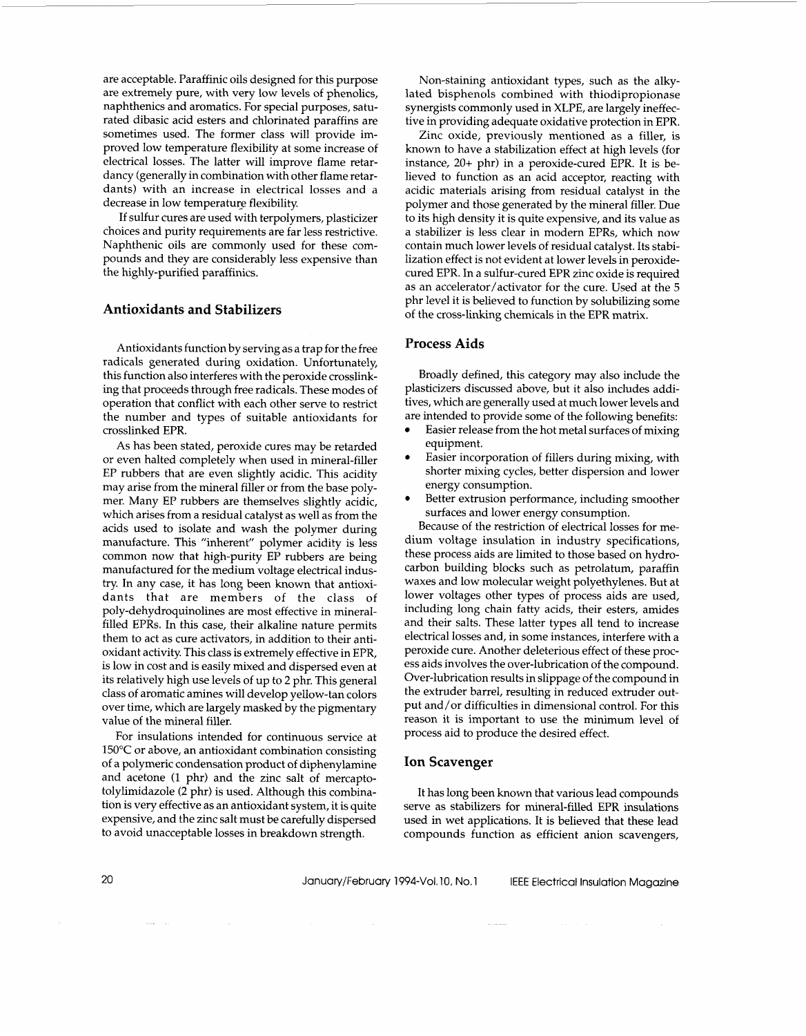are acceptable. Paraffinic oils designed for this purpose are extremely pure, with very low levels of phenolics, naphthenics and aromatics. For special purposes, saturated dibasic acid esters and chlorinated paraffins are sometimes used. The former class will provide improved low temperature flexibility at some increase of electrical losses. The latter will improve flame retardancy (generally in combination with other flame retardants) with an increase in electrical losses and a decrease in low temperature flexibility.

If sulfur cures are used with terpolymers, plasticizer choices and purity requirements are far less restrictive. Naphthenic oils are commonly used for these compounds and they are considerably less expensive than the highly-purified paraffinics.

# **Antioxidants and Stabilizers**

Antioxidants function by serving as a trap for the free radicals generated during oxidation. Unfortunately, this function also interferes with the peroxide crosslinking that proceeds through free radicals. These modes of operation that conflict with each other serve to restrict the number and types of suitable antioxidants for crosslinked EPR.

As has been stated, peroxide cures may be retarded or even halted completely when used in mineral-filler EP rubbers that are even slightly acidic. This acidity may arise from the mineral filler or from the base polymer. Many EP rubbers are themselves slightly acidic, which arises from a residual catalyst as well as from the acids used to isolate and wash the polymer during manufacture. This "inherent" polymer acidity is less common now that high-purity EP rubbers are being manufactured for the medium voltage electrical industry. In any case, it has long been known that antioxidants that are members of the class of poly-dehydroquinolines are most effective in mineralfilled EPRs. In this case, their alkaline nature permits them to act as cure activators, in addition to their antioxidant activity. This class is extremely effective in EPR, is low in cost and is easily mixed and dispersed even at its relatively high use levels of up to **2** phr. This general class of aromatic amines will develop yellow-tan colors over time, which are largely masked by the pigmentary value of the mineral filler.

For insulations intended for continuous service at 150°C or above, an antioxidant combination consisting of a polymeric condensation product of diphenylamine and acetone (1 phr) and the zinc salt of mercaptotolylimidazole **(2** phr) is used. Although this combination is very effective as an antioxidant system, it is quite expensive, and the zinc salt must be carefully dispersed to avoid unacceptable losses in breakdown strength.

Non-staining antioxidant types, such as the alkylated bisphenols combined with thiodipropionase synergists commonly used in XLPE, are largely ineffective in providing adequate oxidative protection in EPR.

Zinc oxide, previously mentioned as a filler, is known to have a stabilization effect at high levels (for instance, 20+ phr) in a peroxide-cured EPR. It is believed to function as an acid acceptor, reacting with acidic materials arising from residual catalyst in the polymer and those generated by the mineral filler. Due to its high density it is quite expensive, and its value as a stabilizer is less clear in modern EPRs, which now contain much lower levels of residual catalyst. Its stabilization effect is not evident at lower levels in peroxidecured EPR. In a sulfur-cured EPR zinc oxide is required as an accelerator/activator for the cure. Used at the 5 phr level it is believed to function by solubilizing some of the cross-linking chemicals in the EPR matrix.

#### **Process Aids**

Broadly defined, this category may also include the plasticizers discussed above, but it also includes additives, which are generally used at much lower levels and are intended to provide some of the following benefits:

- Easier release from the hot metal surfaces of mixing equipment.
- Easier incorporation of fillers during mixing, with shorter mixing cycles, better dispersion and lower energy consumption.
- $\bullet$ Better extrusion performance, including smoother surfaces and lower energy consumption.

Because of the restriction of electrical losses for medium voltage insulation in industry specifications, these process aids are limited to those based on hydrocarbon building blocks such as petrolatum, paraffin waxes and low molecular weight polyethylenes. But at lower voltages other types of process aids are used, including long chain fatty acids, their esters, amides and their salts. These latter types all tend to increase electrical losses and, in some instances, interfere with a peroxide cure. Another deleterious effect of these process aids involves the over-lubrication of the compound. Over-lubrication results in slippage of the compound in the extruder barrel, resulting in reduced extruder output and/or difficulties in dimensional control. For this reason it is important to use the minimum level of process aid to produce the desired effect.

#### **Ion Scavenger**

It has long been known that various lead compounds serve as stabilizers for mineral-filled EPR insulations used in wet applications. It is believed that these lead compounds function as efficient anion scavengers,

 $\sim 10^{10}$  and  $\sim 10^{10}$ 

 $\omega_{\rm{max}} = 1$  .

20 **January/February 1994-Vol. 10, No. 1** IEEE Electrical Insulation Magazine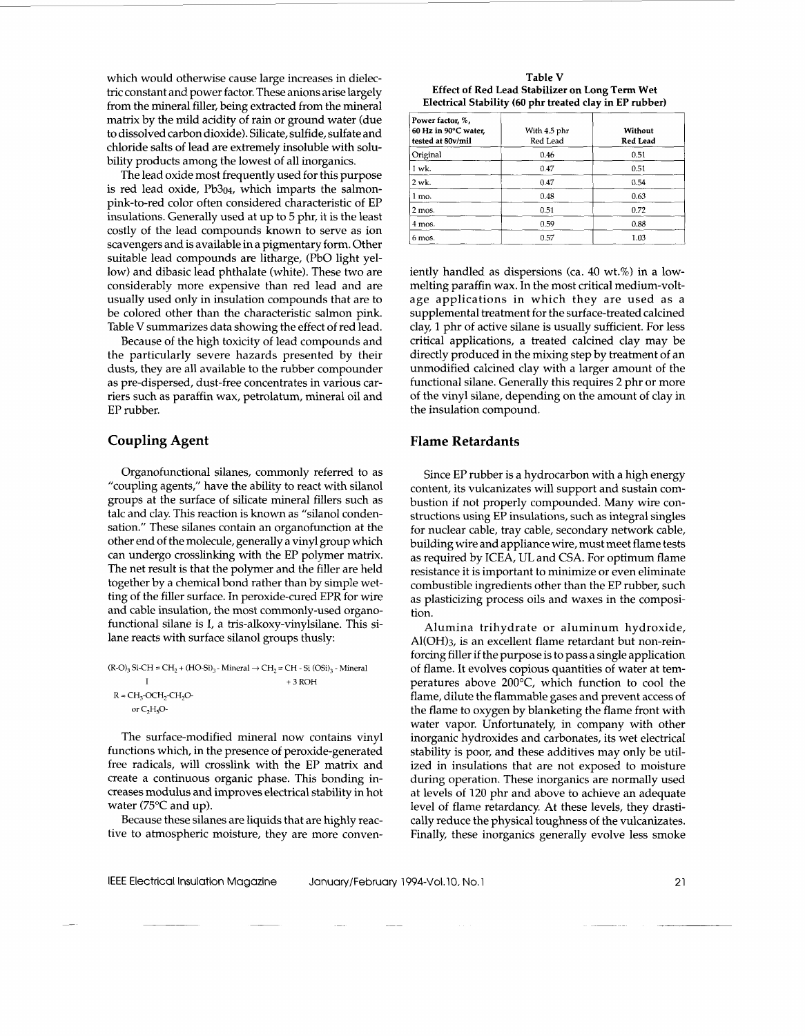which would otherwise cause large increases in dielectric constant and power factor. These anions arise largely from the mineral filler, being extracted from the mineral matrix by the mild acidity of rain or ground water (due to dissolved carbon dioxide). Silicate, sulfide, sulfate and chloride salts of lead are extremely insoluble with solubility products among the lowest of all inorganics.

The lead oxide most frequently used for this purpose is red lead oxide, Pb304, which imparts the salmonpink-to-red color often considered characteristic of EP insulations. Generally used at up to 5 phr, it is the least costly of the lead compounds known to serve as ion scavengers and is available in a pigmentary form. Other suitable lead compounds are litharge, (PbO light yellow) and dibasic lead phthalate (white). These two are considerably more expensive than red lead and are usually used only in insulation compounds that are to be colored other than the characteristic salmon pink. Table V summarizes data showing the effect of red lead.

Because of the high toxicity of lead compounds and the particularly severe hazards presented by their dusts, they are all available to the rubber compounder as pre-dispersed, dust-free concentrates in various carriers such as paraffin wax, petrolatum, mineral oil and EP rubber.

# **Coupling Agent**

Organofunctional silanes, commonly referred to as "coupling agents," have the ability to react with silanol groups at the surface of silicate mineral fillers such as talc and clay. This reaction is known as "silanol condensation.'' These silanes contain an organofunction at the other end of the molecule, generally a vinyl group which can undergo crosslinking with the EP polymer matrix. The net result is that the polymer and the filler are held together by a chemical bond rather than by simple wetting of the filler surface. In peroxide-cured EPR for wire and cable insulation, the most commonly-used organofunctional silane is I, a tris-alkoxy-vinylsilane. This silane reacts with surface silanol groups thusly:

 $(R-O)_3$  Si-CH = CH<sub>2</sub> + (HO-Si)<sub>3</sub> - Mineral  $\rightarrow$  CH<sub>2</sub> = CH - Si (OSi)<sub>3</sub> - Mineral I + **3** ROH  $R = CH_3$ -OCH<sub>2</sub>-CH<sub>2</sub>Oor  $C_2H_5O$ -

The surface-modified mineral now contains vinyl functions which, in the presence of peroxide-generated free radicals, will crosslink with the EP matrix and create a continuous organic phase. This bonding increases modulus and improves electrical stability in hot water (75°C and up).

Because these silanes are liquids that are highly reactive to atmospheric moisture, they are more conven-

| Table V                                                 |
|---------------------------------------------------------|
| Effect of Red Lead Stabilizer on Long Term Wet          |
| Electrical Stability (60 phr treated clay in EP rubber) |

| Power factor, %,<br>60 Hz in 90°C water,<br>tested at 80v/mil | With 4.5 phr<br>Red Lead | Without<br><b>Red Lead</b> |
|---------------------------------------------------------------|--------------------------|----------------------------|
| Original                                                      | 0.46                     | 0.51                       |
| 1 wk.                                                         | 0.47                     | 0.51                       |
| $2$ wk.                                                       | 0.47                     | 0.54                       |
| $1 \text{ mo}$ .                                              | 0.48                     | 0.63                       |
| $2$ mos.                                                      | 0.51                     | 0.72                       |
| 4 mos.                                                        | 0.59                     | 0.88                       |
| 6 mos.                                                        | 0.57                     | 1.03                       |

iently handled as dispersions (ca. 40 wt.%) in a lowmelting paraffin wax. In the most critical medium-voltage applications in which they are used as a supplemental treatment for the surface-treated calcined clay, 1 phr of active silane is usually sufficient. For less critical applications, a treated calcined clay may be directly produced in the mixing step by treatment of an unmodified calcined clay with a larger amount of the functional silane. Generally this requires 2 phr or more of the vinyl silane, depending on the amount of clay in the insulation compound.

#### **Flame Retardants**

Since EP rubber is a hydrocarbon with a high energy content, its vulcanizates will support and sustain combustion if not properly compounded. Many wire constructions using EP insulations, such as integral singles for nuclear cable, tray cable, secondary network cable, building wire and appliance wire, must meet flame tests as required by ICEA, UL and CSA. For optimum flame resistance it is important to minimize or even eliminate combustible ingredients other than the EP rubber, such as plasticizing process oils and waxes in the composition.

Alumina trihydrate or aluminum hydroxide, Al(OH)3, is an excellent flame retardant but non-reinforcing filler if the purpose is to pass a single application of flame. It evolves copious quantities of water at temperatures above  $200^{\circ}$ C, which function to cool the flame, dilute the flammable gases and prevent access of the flame to oxygen by blanketing the flame front with water vapor. Unfortunately, in company with other inorganic hydroxides and carbonates, its wet electrical stability is poor, and these additives may only be utilized in insulations that are not exposed to moisture during operation. These inorganics are normally used at levels of 120 phr and above to achieve an adequate level of flame retardancy. At these levels, they drastically reduce the physical toughness of the vulcanizates. Finally, these inorganics generally evolve less smoke

\_\_\_\_\_ ~ ~~ ~